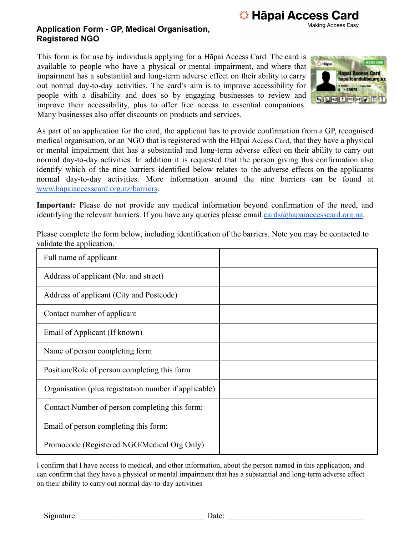**※ Hāpai Access Card Making Access Easy** 

## **Application Form - GP, Medical Organisation, Registered NGO**

This form is for use by individuals applying for a Hāpai Access Card. The card is available to people who have a physical or mental impairment, and where that impairment has a substantial and long-term adverse effect on their ability to carry out normal day-to-day activities. The card's aim is to improve accessibility for people with a disability and does so by engaging businesses to review and improve their accessibility, plus to offer free access to essential companions. Many businesses also offer discounts on products and services.



As part of an application for the card, the applicant has to provide confirmation from a GP, recognised medical organisation, or an NGO that is registered with the Hāpai Access Card, that they have a physical or mental impairment that has a substantial and long-term adverse effect on their ability to carry out normal day-to-day activities. In addition it is requested that the person giving this confirmation also identify which of the nine barriers identified below relates to the adverse effects on the applicants normal day-to-day activities. More information around the nine barriers can be found at www.hapaiaccesscard.org.nz/barriers.

**Important:** Please do not provide any medical information beyond confirmation of the need, and identifying the relevant barriers. If you have any queries please email [cards@hapaiaccesscard.org.nz.](mailto:cards@hapaiaccesscard.org.nz)

| Full name of applicant                                |  |
|-------------------------------------------------------|--|
| Address of applicant (No. and street)                 |  |
| Address of applicant (City and Postcode)              |  |
| Contact number of applicant                           |  |
| Email of Applicant (If known)                         |  |
| Name of person completing form                        |  |
| Position/Role of person completing this form          |  |
| Organisation (plus registration number if applicable) |  |
| Contact Number of person completing this form:        |  |
| Email of person completing this form:                 |  |
| Promocode (Registered NGO/Medical Org Only)           |  |

Please complete the form below, including identification of the barriers. Note you may be contacted to validate the application.

I confirm that I have access to medical, and other information, about the person named in this application, and can confirm that they have a physical or mental impairment that has a substantial and long-term adverse effect on their ability to carry out normal day-to-day activities